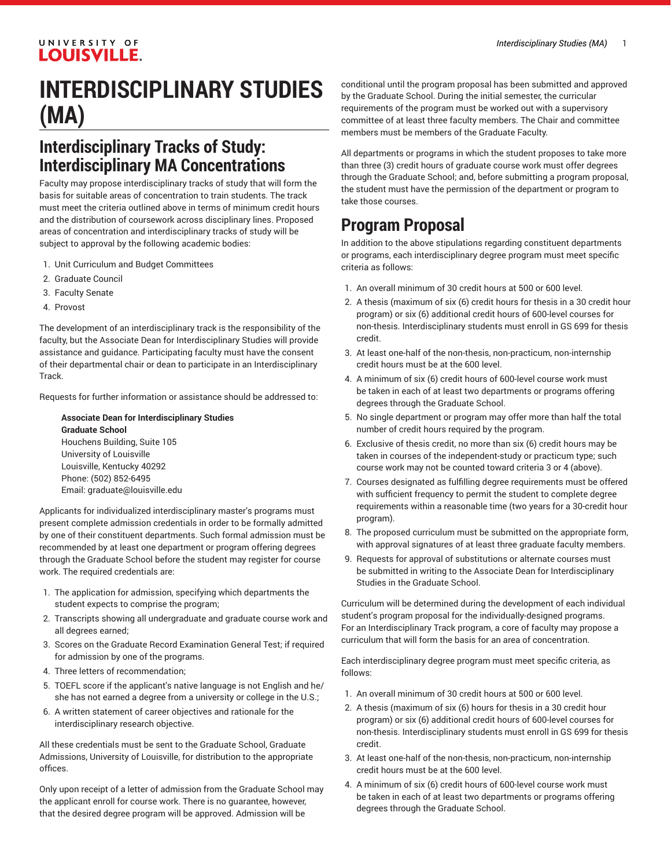#### UNIVERSITY OF **LOUISVILLE.**

# **INTERDISCIPLINARY STUDIES (MA)**

### **Interdisciplinary Tracks of Study: Interdisciplinary MA Concentrations**

Faculty may propose interdisciplinary tracks of study that will form the basis for suitable areas of concentration to train students. The track must meet the criteria outlined above in terms of minimum credit hours and the distribution of coursework across disciplinary lines. Proposed areas of concentration and interdisciplinary tracks of study will be subject to approval by the following academic bodies:

- 1. Unit Curriculum and Budget Committees
- 2. Graduate Council
- 3. Faculty Senate
- 4. Provost

The development of an interdisciplinary track is the responsibility of the faculty, but the Associate Dean for Interdisciplinary Studies will provide assistance and guidance. Participating faculty must have the consent of their departmental chair or dean to participate in an Interdisciplinary Track.

Requests for further information or assistance should be addressed to:

**Associate Dean for Interdisciplinary Studies Graduate School** Houchens Building, Suite 105 University of Louisville Louisville, Kentucky 40292 Phone: (502) 852-6495 Email: [graduate@louisville.edu](mailto:graduate@louisville.edu)

Applicants for individualized interdisciplinary master's programs must present complete admission credentials in order to be formally admitted by one of their constituent departments. Such formal admission must be recommended by at least one department or program offering degrees through the Graduate School before the student may register for course work. The required credentials are:

- 1. The application for admission, specifying which departments the student expects to comprise the program;
- 2. Transcripts showing all undergraduate and graduate course work and all degrees earned;
- 3. Scores on the Graduate Record Examination General Test; if required for admission by one of the programs.
- 4. Three letters of recommendation;
- 5. TOEFL score if the applicant's native language is not English and he/ she has not earned a degree from a university or college in the U.S.;
- 6. A written statement of career objectives and rationale for the interdisciplinary research objective.

All these credentials must be sent to the Graduate School, Graduate Admissions, University of Louisville, for distribution to the appropriate offices.

Only upon receipt of a letter of admission from the Graduate School may the applicant enroll for course work. There is no guarantee, however, that the desired degree program will be approved. Admission will be

conditional until the program proposal has been submitted and approved by the Graduate School. During the initial semester, the curricular requirements of the program must be worked out with a supervisory committee of at least three faculty members. The Chair and committee members must be members of the Graduate Faculty.

All departments or programs in which the student proposes to take more than three (3) credit hours of graduate course work must offer degrees through the Graduate School; and, before submitting a program proposal, the student must have the permission of the department or program to take those courses.

## **Program Proposal**

In addition to the above stipulations regarding constituent departments or programs, each interdisciplinary degree program must meet specific criteria as follows:

- 1. An overall minimum of 30 credit hours at 500 or 600 level.
- 2. A thesis (maximum of six (6) credit hours for thesis in a 30 credit hour program) or six (6) additional credit hours of 600-level courses for non-thesis. Interdisciplinary students must enroll in GS 699 for thesis credit.
- 3. At least one-half of the non-thesis, non-practicum, non-internship credit hours must be at the 600 level.
- 4. A minimum of six (6) credit hours of 600-level course work must be taken in each of at least two departments or programs offering degrees through the Graduate School.
- 5. No single department or program may offer more than half the total number of credit hours required by the program.
- 6. Exclusive of thesis credit, no more than six (6) credit hours may be taken in courses of the independent-study or practicum type; such course work may not be counted toward criteria 3 or 4 (above).
- 7. Courses designated as fulfilling degree requirements must be offered with sufficient frequency to permit the student to complete degree requirements within a reasonable time (two years for a 30-credit hour program).
- 8. The proposed curriculum must be submitted on the appropriate form, with approval signatures of at least three graduate faculty members.
- 9. Requests for approval of substitutions or alternate courses must be submitted in writing to the Associate Dean for Interdisciplinary Studies in the Graduate School.

Curriculum will be determined during the development of each individual student's program proposal for the individually-designed programs. For an Interdisciplinary Track program, a core of faculty may propose a curriculum that will form the basis for an area of concentration.

Each interdisciplinary degree program must meet specific criteria, as follows:

- 1. An overall minimum of 30 credit hours at 500 or 600 level.
- 2. A thesis (maximum of six (6) hours for thesis in a 30 credit hour program) or six (6) additional credit hours of 600-level courses for non-thesis. Interdisciplinary students must enroll in GS 699 for thesis credit.
- 3. At least one-half of the non-thesis, non-practicum, non-internship credit hours must be at the 600 level.
- 4. A minimum of six (6) credit hours of 600-level course work must be taken in each of at least two departments or programs offering degrees through the Graduate School.